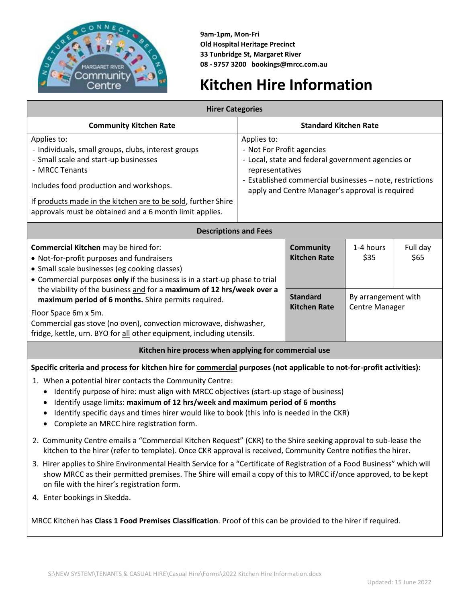

**9am-1pm, Mon-Fri Old Hospital Heritage Precinct 33 Tunbridge St, Margaret River 08 - 9757 3200 bookings@mrcc.com.au**

# **Kitchen Hire Information**

| <b>Hirer Categories</b>                                                                                                                                                                                                                                                                                                                                                                                                                                                                                                |                                                                                                                                                                                                                                 |                                         |                                              |                  |
|------------------------------------------------------------------------------------------------------------------------------------------------------------------------------------------------------------------------------------------------------------------------------------------------------------------------------------------------------------------------------------------------------------------------------------------------------------------------------------------------------------------------|---------------------------------------------------------------------------------------------------------------------------------------------------------------------------------------------------------------------------------|-----------------------------------------|----------------------------------------------|------------------|
| <b>Community Kitchen Rate</b>                                                                                                                                                                                                                                                                                                                                                                                                                                                                                          | <b>Standard Kitchen Rate</b>                                                                                                                                                                                                    |                                         |                                              |                  |
| Applies to:<br>- Individuals, small groups, clubs, interest groups<br>- Small scale and start-up businesses<br>- MRCC Tenants<br>Includes food production and workshops.<br>If products made in the kitchen are to be sold, further Shire<br>approvals must be obtained and a 6 month limit applies.                                                                                                                                                                                                                   | Applies to:<br>- Not For Profit agencies<br>- Local, state and federal government agencies or<br>representatives<br>- Established commercial businesses - note, restrictions<br>apply and Centre Manager's approval is required |                                         |                                              |                  |
| <b>Descriptions and Fees</b>                                                                                                                                                                                                                                                                                                                                                                                                                                                                                           |                                                                                                                                                                                                                                 |                                         |                                              |                  |
| Commercial Kitchen may be hired for:<br>• Not-for-profit purposes and fundraisers<br>• Small scale businesses (eg cooking classes)<br>• Commercial purposes only if the business is in a start-up phase to trial<br>the viability of the business and for a maximum of 12 hrs/week over a<br>maximum period of 6 months. Shire permits required.<br>Floor Space 6m x 5m.<br>Commercial gas stove (no oven), convection microwave, dishwasher,<br>fridge, kettle, urn. BYO for all other equipment, including utensils. |                                                                                                                                                                                                                                 | <b>Community</b><br><b>Kitchen Rate</b> | 1-4 hours<br>\$35                            | Full day<br>\$65 |
|                                                                                                                                                                                                                                                                                                                                                                                                                                                                                                                        |                                                                                                                                                                                                                                 | <b>Standard</b><br><b>Kitchen Rate</b>  | By arrangement with<br><b>Centre Manager</b> |                  |
| Kitchen hire process when applying for commercial use                                                                                                                                                                                                                                                                                                                                                                                                                                                                  |                                                                                                                                                                                                                                 |                                         |                                              |                  |
| Specific criteria and process for kitchen hire for commercial purposes (not applicable to not-for-profit activities):<br>1. When a potential hirer contacts the Community Centre:<br>Identify purpose of hire: must align with MRCC objectives (start-up stage of business)                                                                                                                                                                                                                                            |                                                                                                                                                                                                                                 |                                         |                                              |                  |
| Identify usage limits: maximum of 12 hrs/week and maximum period of 6 months                                                                                                                                                                                                                                                                                                                                                                                                                                           |                                                                                                                                                                                                                                 |                                         |                                              |                  |

- Identify specific days and times hirer would like to book (this info is needed in the CKR)
- Complete an MRCC hire registration form.
- 2. Community Centre emails a "Commercial Kitchen Request" (CKR) to the Shire seeking approval to sub-lease the kitchen to the hirer (refer to template). Once CKR approval is received, Community Centre notifies the hirer.
- 3. Hirer applies to Shire Environmental Health Service for a "Certificate of Registration of a Food Business" which will show MRCC as their permitted premises. The Shire will email a copy of this to MRCC if/once approved, to be kept on file with the hirer's registration form.
- 4. Enter bookings in Skedda.

MRCC Kitchen has **Class 1 Food Premises Classification**. Proof of this can be provided to the hirer if required.